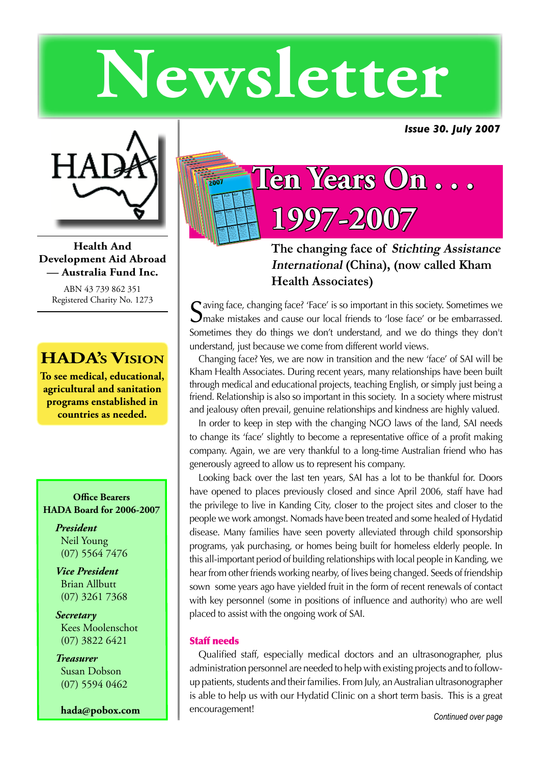# **Newsletter**

*Issue 30. July 2007* 



**Health And Development Aid Abroad — Australia Fund Inc.**

ABN 43 739 862 351 Registered Charity No. 1273

## **HADA's Vision**

**To see medical, educational, agricultural and sanitation programs enstablished in countries as needed.**

#### **Office Bearers HADA Board for 2006-2007**

*President* Neil Young (07) 5564 7476

*Vice President* Brian Allbutt (07) 3261 7368

*Secretary* Kees Moolenschot (07) 3822 6421

*Treasurer* Susan Dobson (07) 5594 0462

**hada@pobox.com**



### **The changing face of Stichting Assistance International (China), (now called Kham Health Associates)**

 $\bigcap$  aving face, changing face? 'Face' is so important in this society. Sometimes we O make mistakes and cause our local friends to 'lose face' or be embarrassed. Sometimes they do things we don't understand, and we do things they don't understand, just because we come from different world views.

Changing face? Yes, we are now in transition and the new 'face' of SAI will be Kham Health Associates. During recent years, many relationships have been built through medical and educational projects, teaching English, or simply just being a friend. Relationship is also so important in this society. In a society where mistrust and jealousy often prevail, genuine relationships and kindness are highly valued.

In order to keep in step with the changing NGO laws of the land, SAI needs to change its 'face' slightly to become a representative office of a profit making company. Again, we are very thankful to a long-time Australian friend who has generously agreed to allow us to represent his company.

Looking back over the last ten years, SAI has a lot to be thankful for. Doors have opened to places previously closed and since April 2006, staff have had the privilege to live in Kanding City, closer to the project sites and closer to the people we work amongst. Nomads have been treated and some healed of Hydatid disease. Many families have seen poverty alleviated through child sponsorship programs, yak purchasing, or homes being built for homeless elderly people. In this all-important period of building relationships with local people in Kanding, we hear from other friends working nearby, of lives being changed. Seeds of friendship sown some years ago have yielded fruit in the form of recent renewals of contact with key personnel (some in positions of influence and authority) who are well placed to assist with the ongoing work of SAI.

#### Staff needs

Qualified staff, especially medical doctors and an ultrasonographer, plus administration personnel are needed to help with existing projects and to followup patients, students and their families. From July, an Australian ultrasonographer is able to help us with our Hydatid Clinic on a short term basis. This is a great encouragement!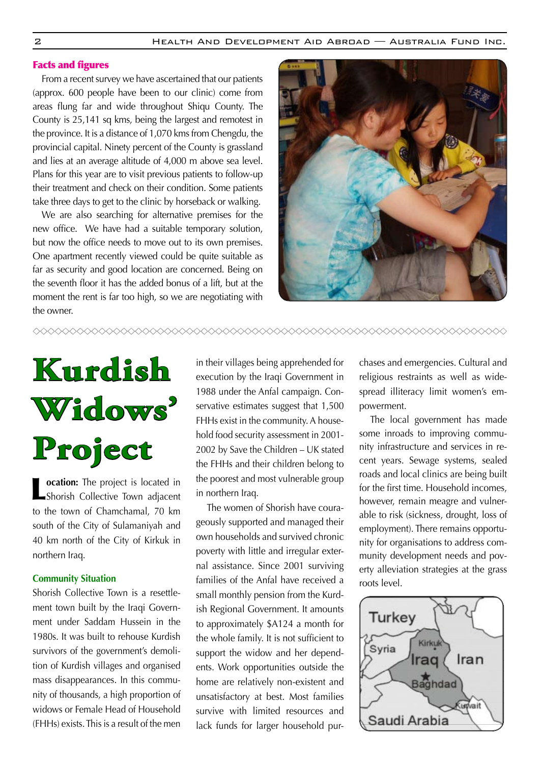XXXXXXXXXX

#### Facts and figures

From a recent survey we have ascertained that our patients (approx. 600 people have been to our clinic) come from areas flung far and wide throughout Shiqu County. The County is 25,141 sq kms, being the largest and remotest in the province. It is a distance of 1,070 kms from Chengdu, the provincial capital. Ninety percent of the County is grassland and lies at an average altitude of 4,000 m above sea level. Plans for this year are to visit previous patients to follow-up their treatment and check on their condition. Some patients take three days to get to the clinic by horseback or walking.

We are also searching for alternative premises for the new office. We have had a suitable temporary solution, but now the office needs to move out to its own premises. One apartment recently viewed could be quite suitable as far as security and good location are concerned. Being on the seventh floor it has the added bonus of a lift, but at the moment the rent is far too high, so we are negotiating with the owner.

00000000000000000000000000000000000000



# **Kurdish Widows' Project**

**Cocation:** The project is located in Shorish Collective Town adjacent to the town of Chamchamal, 70 km south of the City of Sulamaniyah and 40 km north of the City of Kirkuk in northern Iraq.

#### **Community Situation**

Shorish Collective Town is a resettlement town built by the Iraqi Government under Saddam Hussein in the 1980s. It was built to rehouse Kurdish survivors of the government's demolition of Kurdish villages and organised mass disappearances. In this community of thousands, a high proportion of widows or Female Head of Household (FHHs) exists. This is a result of the men

in their villages being apprehended for execution by the Iraqi Government in 1988 under the Anfal campaign. Conservative estimates suggest that 1,500 FHHs exist in the community. A household food security assessment in 2001- 2002 by Save the Children – UK stated the FHHs and their children belong to the poorest and most vulnerable group in northern Iraq.

The women of Shorish have courageously supported and managed their own households and survived chronic poverty with little and irregular external assistance. Since 2001 surviving families of the Anfal have received a small monthly pension from the Kurdish Regional Government. It amounts to approximately \$A124 a month for the whole family. It is not sufficient to support the widow and her dependents. Work opportunities outside the home are relatively non-existent and unsatisfactory at best. Most families survive with limited resources and lack funds for larger household pur-

chases and emergencies. Cultural and religious restraints as well as widespread illiteracy limit women's empowerment.

**AAAAAAAAAAAAAAAAA** 

The local government has made some inroads to improving community infrastructure and services in recent years. Sewage systems, sealed roads and local clinics are being built for the first time. Household incomes, however, remain meagre and vulnerable to risk (sickness, drought, loss of employment). There remains opportunity for organisations to address community development needs and poverty alleviation strategies at the grass roots level.

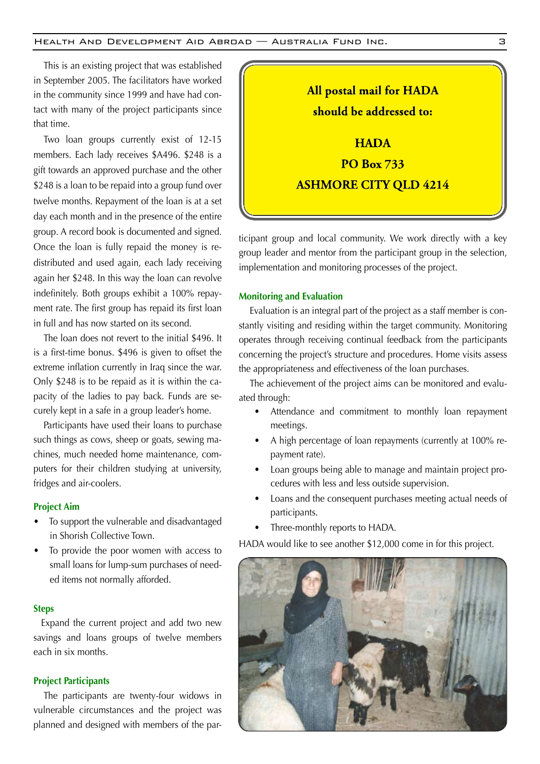This is an existing project that was established in September 2005. The facilitators have worked in the community since 1999 and have had contact with many of the project participants since that time.

Two loan groups currently exist of 12-15 members. Each lady receives \$A496. \$248 is a gift towards an approved purchase and the other \$248 is a loan to be repaid into a group fund over twelve months. Repayment of the loan is at a set day each month and in the presence of the entire group. A record book is documented and signed. Once the loan is fully repaid the money is redistributed and used again, each lady receiving again her \$248. In this way the loan can revolve indefinitely. Both groups exhibit a 100% repayment rate. The first group has repaid its first loan in full and has now started on its second.

The loan does not revert to the initial \$496. It is a first-time bonus. \$496 is given to offset the extreme inflation currently in Iraq since the war. Only \$248 is to be repaid as it is within the capacity of the ladies to pay back. Funds are securely kept in a safe in a group leader's home.

Participants have used their loans to purchase such things as cows, sheep or goats, sewing machines, much needed home maintenance, computers for their children studying at university, fridges and air-coolers.

#### **Project Aim**

- To support the vulnerable and disadvantaged in Shorish Collective Town.
- To provide the poor women with access to small loans for lump-sum purchases of needed items not normally afforded.

#### **Steps**

 Expand the current project and add two new savings and loans groups of twelve members each in six months.

#### **Project Participants**

The participants are twenty-four widows in vulnerable circumstances and the project was planned and designed with members of the par-

All postal mail for HADA should be addressed to: **HADA PO Box 733 ASHMORE CITY QLD 4214** 

ticipant group and local community. We work directly with a key group leader and mentor from the participant group in the selection, implementation and monitoring processes of the project.

#### **Monitoring and Evaluation**

Evaluation is an integral part of the project as a staff member is constantly visiting and residing within the target community. Monitoring operates through receiving continual feedback from the participants concerning the project's structure and procedures. Home visits assess the appropriateness and effectiveness of the loan purchases.

The achievement of the project aims can be monitored and evaluated through:

- Attendance and commitment to monthly loan repayment meetings.
- A high percentage of loan repayments (currently at 100% repayment rate).
- Loan groups being able to manage and maintain project procedures with less and less outside supervision.
- Loans and the consequent purchases meeting actual needs of participants.
- Three-monthly reports to HADA.

HADA would like to see another \$12,000 come in for this project.

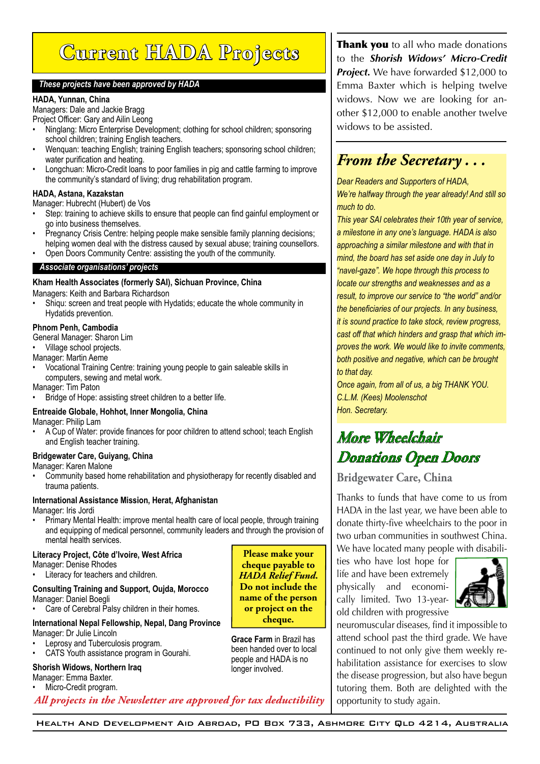# **Current HADA Projects**

#### *These projects have been approved by HADA*

#### **HADA, Yunnan, China**

Managers: Dale and Jackie Bragg

- Project Officer: Gary and Ailin Leong Ninglang: Micro Enterprise Development; clothing for school children; sponsoring
- school children; training English teachers.
- Wenquan: teaching English; training English teachers; sponsoring school children; water purification and heating.
- Longchuan: Micro-Credit loans to poor families in pig and cattle farming to improve the community's standard of living; drug rehabilitation program.

#### **HADA, Astana, Kazakstan**

Manager: Hubrecht (Hubert) de Vos

- Step: training to achieve skills to ensure that people can find gainful employment or go into business themselves.
- Pregnancy Crisis Centre: helping people make sensible family planning decisions; helping women deal with the distress caused by sexual abuse; training counsellors. Open Doors Community Centre: assisting the youth of the community.

#### *Associate organisations' projects*

#### **Kham Health Associates (formerly SAI), Sichuan Province, China**

Managers: Keith and Barbara Richardson

Shiqu: screen and treat people with Hydatids; educate the whole community in Hydatids prevention.

#### **Phnom Penh, Cambodia**

 General Manager: Sharon Lim

Village school projects.

- Manager: Martin Aeme
- Vocational Training Centre: training young people to gain saleable skills in computers, sewing and metal work.

 Manager: Tim Paton

Bridge of Hope: assisting street children to a better life.

#### **Entreaide Globale, Hohhot, Inner Mongolia, China**

Manager: Philip Lam

A Cup of Water: provide finances for poor children to attend school; teach English and English teacher training.

#### **Bridgewater Care, Guiyang, China**

Manager: Karen Malone

Community based home rehabilitation and physiotherapy for recently disabled and trauma patients.

#### **International Assistance Mission, Herat, Afghanistan**

Manager: Iris Jordi

Primary Mental Health: improve mental health care of local people, through training and equipping of medical personnel, community leaders and through the provision of mental health services.

#### **Literacy Project, Côte d'lvoire, West Africa**

Manager: Denise Rhodes

Literacy for teachers and children.

#### **Consulting Training and Support, Oujda, Morocco** Manager: Daniel Boegli

Care of Cerebral Palsy children in their homes.

#### **International Nepal Fellowship, Nepal, Dang Province**

- Manager: Dr Julie Lincoln
- Leprosy and Tuberculosis program.
- CATS Youth assistance program in Gourahi.

#### **Shorish Widows, Northern Iraq**

Manager: Emma Baxter.

Micro-Credit program.

*All projects in the Newsletter are approved for tax deductibility*

Thank you to all who made donations to the *Shorish Widows' Micro-Credit*  **Project.** We have forwarded \$12,000 to Emma Baxter which is helping twelve widows. Now we are looking for another \$12,000 to enable another twelve widows to be assisted.

# *From the Secretary . . .*

*Dear Readers and Supporters of HADA, We're halfway through the year already! And still so much to do.*

*This year SAI celebrates their 10th year of service, a milestone in any one's language. HADA is also approaching a similar milestone and with that in mind, the board has set aside one day in July to "navel-gaze". We hope through this process to locate our strengths and weaknesses and as a result, to improve our service to "the world" and/or the beneficiaries of our projects. In any business, it is sound practice to take stock, review progress, cast off that which hinders and grasp that which improves the work. We would like to invite comments, both positive and negative, which can be brought to that day.* 

*Once again, from all of us, a big THANK YOU. C.L.M. (Kees) Moolenschot Hon. Secretary.*

# **More Wheelchair Donations Open Doors**

**Bridgewater Care, China**

Thanks to funds that have come to us from HADA in the last year, we have been able to donate thirty-five wheelchairs to the poor in two urban communities in southwest China. We have located many people with disabili-

ties who have lost hope for life and have been extremely physically and economically limited. Two 13-yearold children with progressive



neuromuscular diseases, find it impossible to attend school past the third grade. We have continued to not only give them weekly rehabilitation assistance for exercises to slow the disease progression, but also have begun tutoring them. Both are delighted with the opportunity to study again.



**Grace Farm** in Brazil has been handed over to local people and HADA is no longer involved.